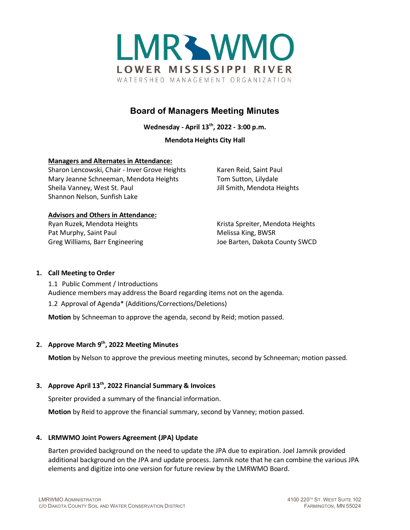

# **Board of Managers Meeting Minutes**

**Wednesday - April 13th, 2022 - 3:00 p.m.**

# **Mendota Heights City Hall**

# **Managers and Alternates in Attendance:**

Sharon Lencowski, Chair - Inver Grove Heights Karen Reid, Saint Paul Mary Jeanne Schneeman, Mendota Heights Tom Sutton, Lilydale Sheila Vanney, West St. Paul Jill Smith, Mendota Heights Shannon Nelson, Sunfish Lake

# **Advisors and Others in Attendance:**

Pat Murphy, Saint Paul Melissa King, BWSR

Ryan Ruzek, Mendota Heights Krista Spreiter, Mendota Heights Greg Williams, Barr Engineering The Matter of Barten, Dakota County SWCD

# **1. Call Meeting to Order**

1.1 Public Comment / Introductions Audience members may address the Board regarding items not on the agenda. 1.2 Approval of Agenda\* (Additions/Corrections/Deletions)

**Motion** by Schneeman to approve the agenda, second by Reid; motion passed.

# **2. Approve March 9th, 2022 Meeting Minutes**

**Motion** by Nelson to approve the previous meeting minutes, second by Schneeman; motion passed.

# **3. Approve April 13th, 2022 Financial Summary & Invoices**

Spreiter provided a summary of the financial information.

**Motion** by Reid to approve the financial summary, second by Vanney; motion passed.

# **4. LRMWMO Joint Powers Agreement (JPA) Update**

Barten provided background on the need to update the JPA due to expiration. Joel Jamnik provided additional background on the JPA and update process. Jamnik note that he can combine the various JPA elements and digitize into one version for future review by the LMRWMO Board.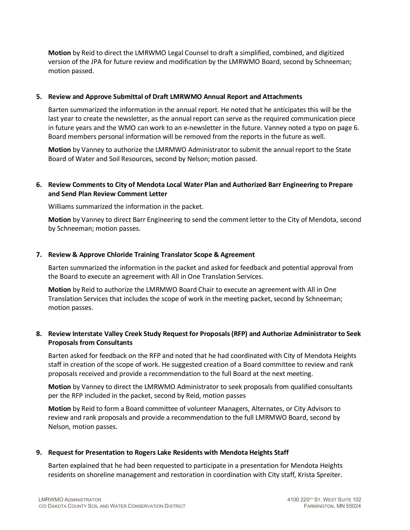**Motion** by Reid to direct the LMRWMO Legal Counsel to draft a simplified, combined, and digitized version of the JPA for future review and modification by the LMRWMO Board, second by Schneeman; motion passed.

# **5. Review and Approve Submittal of Draft LMRWMO Annual Report and Attachments**

Barten summarized the information in the annual report. He noted that he anticipates this will be the last year to create the newsletter, as the annual report can serve as the required communication piece in future years and the WMO can work to an e-newsletter in the future. Vanney noted a typo on page 6. Board members personal information will be removed from the reports in the future as well.

**Motion** by Vanney to authorize the LMRMWO Administrator to submit the annual report to the State Board of Water and Soil Resources, second by Nelson; motion passed.

# **6. Review Comments to City of Mendota Local Water Plan and Authorized Barr Engineering to Prepare and Send Plan Review Comment Letter**

Williams summarized the information in the packet.

**Motion** by Vanney to direct Barr Engineering to send the comment letter to the City of Mendota, second by Schneeman; motion passes.

#### **7. Review & Approve Chloride Training Translator Scope & Agreement**

Barten summarized the information in the packet and asked for feedback and potential approval from the Board to execute an agreement with All in One Translation Services.

**Motion** by Reid to authorize the LMRMWO Board Chair to execute an agreement with All in One Translation Services that includes the scope of work in the meeting packet, second by Schneeman; motion passes.

# **8. Review Interstate Valley Creek Study Request for Proposals (RFP) and Authorize Administrator to Seek Proposals from Consultants**

Barten asked for feedback on the RFP and noted that he had coordinated with City of Mendota Heights staff in creation of the scope of work. He suggested creation of a Board committee to review and rank proposals received and provide a recommendation to the full Board at the next meeting.

**Motion** by Vanney to direct the LMRWMO Administrator to seek proposals from qualified consultants per the RFP included in the packet, second by Reid, motion passes

**Motion** by Reid to form a Board committee of volunteer Managers, Alternates, or City Advisors to review and rank proposals and provide a recommendation to the full LMRMWO Board, second by Nelson, motion passes.

# **9. Request for Presentation to Rogers Lake Residents with Mendota Heights Staff**

Barten explained that he had been requested to participate in a presentation for Mendota Heights residents on shoreline management and restoration in coordination with City staff, Krista Spreiter.